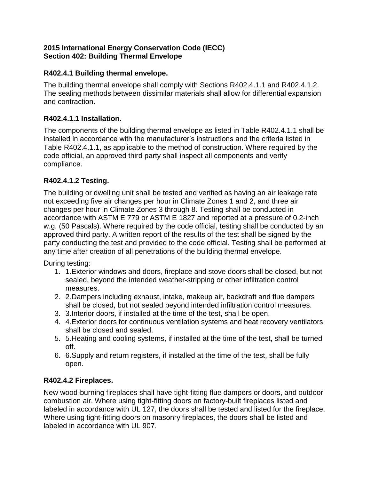#### **2015 International Energy Conservation Code (IECC) Section 402: Building Thermal Envelope**

# **R402.4.1 Building thermal envelope.**

The building thermal envelope shall comply with Sections R402.4.1.1 and R402.4.1.2. The sealing methods between dissimilar materials shall allow for differential expansion and contraction.

# **R402.4.1.1 Installation.**

The components of the building thermal envelope as listed in Table R402.4.1.1 shall be installed in accordance with the manufacturer's instructions and the criteria listed in Table R402.4.1.1, as applicable to the method of construction. Where required by the code official, an approved third party shall inspect all components and verify compliance.

# **R402.4.1.2 Testing.**

The building or dwelling unit shall be tested and verified as having an air leakage rate not exceeding five air changes per hour in Climate Zones 1 and 2, and three air changes per hour in Climate Zones 3 through 8. Testing shall be conducted in accordance with ASTM E 779 or ASTM E 1827 and reported at a pressure of 0.2-inch w.g. (50 Pascals). Where required by the code official, testing shall be conducted by an approved third party. A written report of the results of the test shall be signed by the party conducting the test and provided to the code official. Testing shall be performed at any time after creation of all penetrations of the building thermal envelope.

During testing:

- 1. 1.Exterior windows and doors, fireplace and stove doors shall be closed, but not sealed, beyond the intended weather-stripping or other infiltration control measures.
- 2. 2.Dampers including exhaust, intake, makeup air, backdraft and flue dampers shall be closed, but not sealed beyond intended infiltration control measures.
- 3. 3.Interior doors, if installed at the time of the test, shall be open.
- 4. 4.Exterior doors for continuous ventilation systems and heat recovery ventilators shall be closed and sealed.
- 5. 5.Heating and cooling systems, if installed at the time of the test, shall be turned off.
- 6. 6.Supply and return registers, if installed at the time of the test, shall be fully open.

## **R402.4.2 Fireplaces.**

New wood-burning fireplaces shall have tight-fitting flue dampers or doors, and outdoor combustion air. Where using tight-fitting doors on factory-built fireplaces listed and labeled in accordance with UL 127, the doors shall be tested and listed for the fireplace. Where using tight-fitting doors on masonry fireplaces, the doors shall be listed and labeled in accordance with UL 907.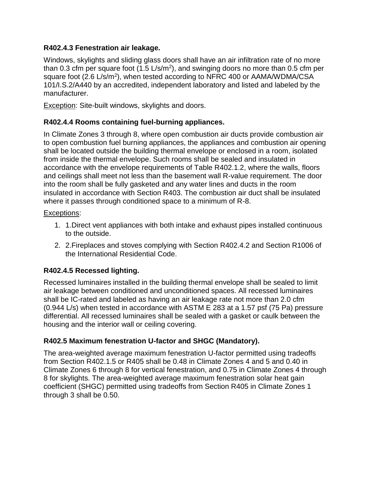#### **R402.4.3 Fenestration air leakage.**

Windows, skylights and sliding glass doors shall have an air infiltration rate of no more than 0.3 cfm per square foot  $(1.5 \text{ L/s/m}^2)$ , and swinging doors no more than 0.5 cfm per square foot (2.6 L/s/m<sup>2</sup>), when tested according to NFRC 400 or AAMA/WDMA/CSA 101/I.S.2/A440 by an accredited, independent laboratory and listed and labeled by the manufacturer.

Exception: Site-built windows, skylights and doors.

## **R402.4.4 Rooms containing fuel-burning appliances.**

In Climate Zones 3 through 8, where open combustion air ducts provide combustion air to open combustion fuel burning appliances, the appliances and combustion air opening shall be located outside the building thermal envelope or enclosed in a room, isolated from inside the thermal envelope. Such rooms shall be sealed and insulated in accordance with the envelope requirements of Table R402.1.2, where the walls, floors and ceilings shall meet not less than the basement wall R-value requirement. The door into the room shall be fully gasketed and any water lines and ducts in the room insulated in accordance with Section R403. The combustion air duct shall be insulated where it passes through conditioned space to a minimum of R-8.

#### Exceptions:

- 1. 1.Direct vent appliances with both intake and exhaust pipes installed continuous to the outside.
- 2. 2.Fireplaces and stoves complying with Section R402.4.2 and Section R1006 of the International Residential Code.

## **R402.4.5 Recessed lighting.**

Recessed luminaires installed in the building thermal envelope shall be sealed to limit air leakage between conditioned and unconditioned spaces. All recessed luminaires shall be IC-rated and labeled as having an air leakage rate not more than 2.0 cfm (0.944 L/s) when tested in accordance with ASTM E 283 at a 1.57 psf (75 Pa) pressure differential. All recessed luminaires shall be sealed with a gasket or caulk between the housing and the interior wall or ceiling covering.

## **R402.5 Maximum fenestration U-factor and SHGC (Mandatory).**

The area-weighted average maximum fenestration U-factor permitted using tradeoffs from Section R402.1.5 or R405 shall be 0.48 in Climate Zones 4 and 5 and 0.40 in Climate Zones 6 through 8 for vertical fenestration, and 0.75 in Climate Zones 4 through 8 for skylights. The area-weighted average maximum fenestration solar heat gain coefficient (SHGC) permitted using tradeoffs from Section R405 in Climate Zones 1 through 3 shall be 0.50.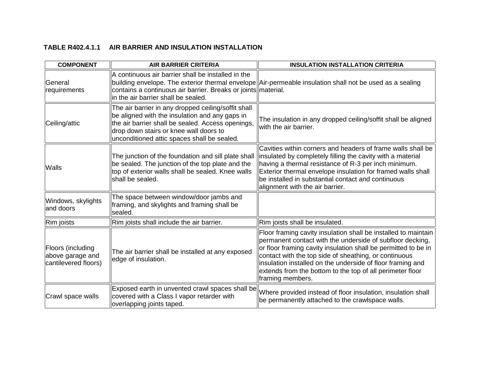#### **TABLE R402.4.1.1 AIR BARRIER AND INSULATION INSTALLATION**

| <b>COMPONENT</b>                                              | <b>AIR BARRIER CRITERIA</b>                                                                                                                                                                                                                         | <b>INSULATION INSTALLATION CRITERIA</b>                                                                                                                                                                                                                                                                                                                                                               |
|---------------------------------------------------------------|-----------------------------------------------------------------------------------------------------------------------------------------------------------------------------------------------------------------------------------------------------|-------------------------------------------------------------------------------------------------------------------------------------------------------------------------------------------------------------------------------------------------------------------------------------------------------------------------------------------------------------------------------------------------------|
| General<br>requirements                                       | A continuous air barrier shall be installed in the<br>contains a continuous air barrier. Breaks or joints material.<br>in the air barrier shall be sealed.                                                                                          | building envelope. The exterior thermal envelope Air-permeable insulation shall not be used as a sealing                                                                                                                                                                                                                                                                                              |
| Ceiling/attic                                                 | The air barrier in any dropped ceiling/soffit shall<br>be aligned with the insulation and any gaps in<br>the air barrier shall be sealed. Access openings,<br>drop down stairs or knee wall doors to<br>unconditioned attic spaces shall be sealed. | The insulation in any dropped ceiling/soffit shall be aligned<br>with the air barrier.                                                                                                                                                                                                                                                                                                                |
| <b>Walls</b>                                                  | The junction of the foundation and sill plate shall<br>be sealed. The junction of the top plate and the<br>top of exterior walls shall be sealed. Knee walls<br>shall be sealed.                                                                    | Cavities within corners and headers of frame walls shall be<br>linsulated by completely filling the cavity with a material<br>having a thermal resistance of R-3 per inch minimum.<br>Exterior thermal envelope insulation for framed walls shall<br>be installed in substantial contact and continuous<br>alignment with the air barrier.                                                            |
| Windows, skylights<br>land doors                              | The space between window/door jambs and<br>framing, and skylights and framing shall be<br>sealed.                                                                                                                                                   |                                                                                                                                                                                                                                                                                                                                                                                                       |
| Rim joists                                                    | Rim joists shall include the air barrier.                                                                                                                                                                                                           | Rim joists shall be insulated.                                                                                                                                                                                                                                                                                                                                                                        |
| Floors (including<br>above garage and<br>cantilevered floors) | The air barrier shall be installed at any exposed<br>edge of insulation.                                                                                                                                                                            | Floor framing cavity insulation shall be installed to maintain<br>permanent contact with the underside of subfloor decking,<br>or floor framing cavity insulation shall be permitted to be in<br>contact with the top side of sheathing, or continuous<br>insulation installed on the underside of floor framing and<br>extends from the bottom to the top of all perimeter floor<br>framing members. |
| Crawl space walls                                             | Exposed earth in unvented crawl spaces shall be<br>covered with a Class I vapor retarder with<br>overlapping joints taped.                                                                                                                          | Where provided instead of floor insulation, insulation shall<br>be permanently attached to the crawlspace walls.                                                                                                                                                                                                                                                                                      |